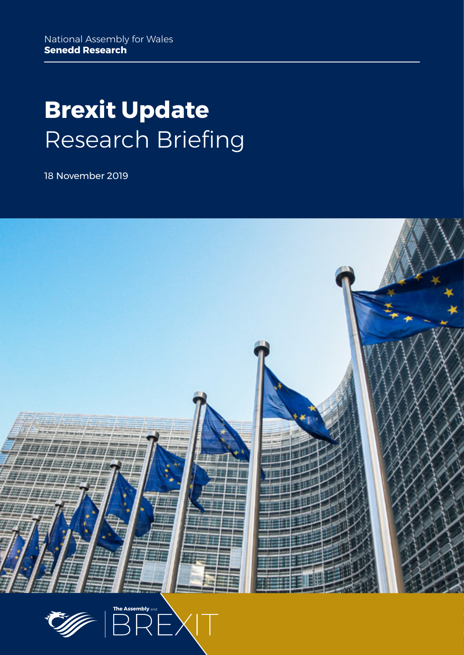# **Brexit Update** Research Briefing

18 November 2019



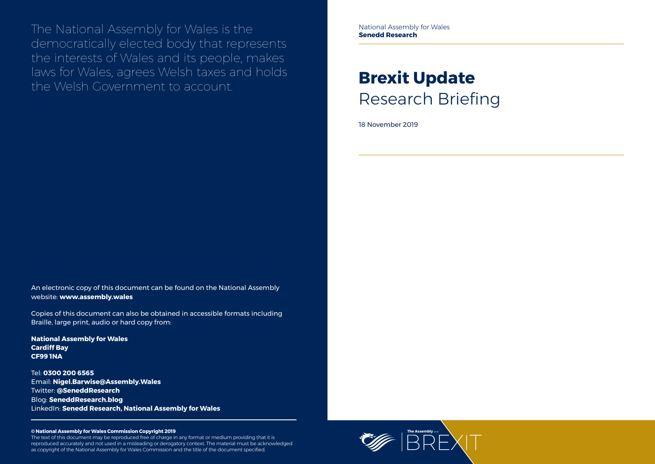

The National Assembly for Wales is the democratically elected body that represents the interests of Wales and its people, makes laws for Wales, agrees Welsh taxes and holds the Welsh Government to account.

#### **© National Assembly for Wales Commission Copyright 2019**

The text of this document may be reproduced free of charge in any format or medium providing that it is reproduced accurately and not used in a misleading or derogatory context. The material must be acknowledged as copyright of the National Assembly for Wales Commission and the title of the document specified.

# **Brexit Update** Research Briefing

18 November 2019

An electronic copy of this document can be found on the National Assembly website: **www.assembly.wales**

Copies of this document can also be obtained in accessible formats including Braille, large print, audio or hard copy from:

**National Assembly for Wales Cardiff Bay CF99 1NA**

Tel: **0300 200 6565** Email: **[Nigel.Barwise@Assembly.Wales](mailto:Nigel.Barwise%40Assembly.Wales?subject=)** Twitter: **[@SeneddResearch](http://www.twitter.com/@SeneddResearch)** Blog: **[SeneddResearch.blog](http://SeneddResearch.blog)** LinkedIn: **Senedd Research, National Assembly for Wales** National Assembly for Wales **Senedd Research**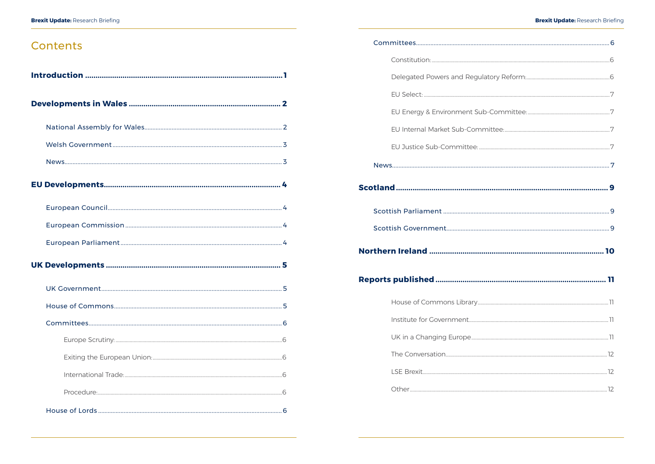## Contents

| Reports published | . 11 |
|-------------------|------|
|                   |      |
|                   |      |
|                   |      |
|                   |      |
|                   |      |
|                   |      |
|                   |      |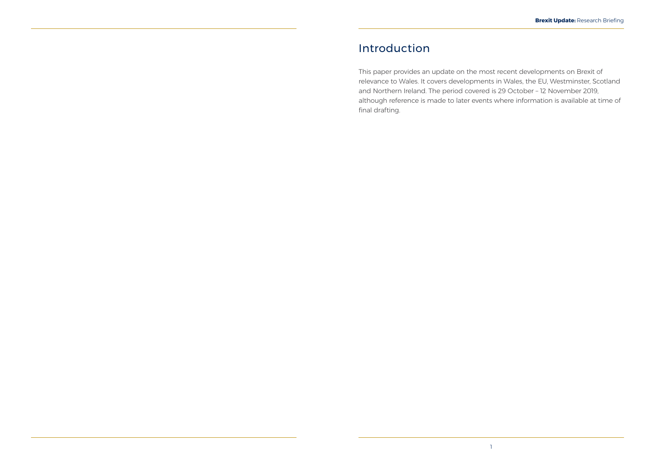## <span id="page-3-0"></span>Introduction

This paper provides an update on the most recent developments on Brexit of relevance to Wales. It covers developments in Wales, the EU, Westminster, Scotland and Northern Ireland. The period covered is 29 October – 12 November 2019, although reference is made to later events where information is available at time of final drafting.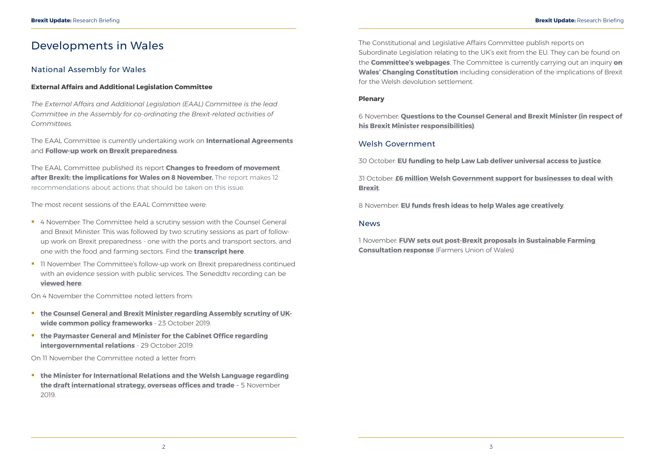## <span id="page-4-0"></span>Developments in Wales

### National Assembly for Wales

#### **External Affairs and Additional Legislation Committee**

*The External Affairs and Additional Legislation (EAAL) Committee is the lead Committee in the Assembly for co-ordinating the Brexit-related activities of Committees.*

The EAAL Committee is currently undertaking work on **[International Agreements](http://senedd.assembly.wales/mgIssueHistoryHome.aspx?IId=25276)** and **[Follow-up work on Brexit preparedness](http://senedd.assembly.wales/mgIssueHistoryHome.aspx?IId=25020&Opt=0)**.

The EAAL Committee published its report **[Changes to freedom of movement](http://www.assembly.wales/laid%20documents/cr-ld12859/cr-ld12859%20-e.pdf)  [after Brexit: the implications for Wales on 8 November.](http://www.assembly.wales/laid%20documents/cr-ld12859/cr-ld12859%20-e.pdf)** The report makes 12 recommendations about actions that should be taken on this issue.

- <sup>4</sup> 4 November: The Committee held a scrutiny session with the Counsel General and Brexit Minister. This was followed by two scrutiny sessions as part of followup work on Brexit preparedness - one with the ports and transport sectors, and one with the food and farming sectors. Find the **[transcript here](https://record.assembly.wales/Committee/5643)**.
- <sup>1</sup> 11 November: The Committee's follow-up work on Brexit preparedness continued with an evidence session with public services. The Seneddtv recording can be **[viewed here](http://www.senedd.tv/Meeting/Archive/cb622236-4cb4-49db-af96-09420de54ecf?autostart=True)**.

The most recent sessions of the EAAL Committee were:

- **[the Counsel General and Brexit Minister regarding Assembly scrutiny of UK](http://senedd.assembly.wales/documents/s95341/Correspondence%20from%20the%20Counsel%20General%20and%20Brexit%20Minister%20to%20the%20Chair%20regarding%20Assembly%20scrutiny.pdf)[wide common policy frameworks](http://senedd.assembly.wales/documents/s95341/Correspondence%20from%20the%20Counsel%20General%20and%20Brexit%20Minister%20to%20the%20Chair%20regarding%20Assembly%20scrutiny.pdf)** - 23 October 2019.
- **the Paymaster General and Minister for the Cabinet Office regarding [intergovernmental relations](http://senedd.assembly.wales/documents/s95342/Correspondence%20from%20the%20Paymaster%20General%20and%20Minister%20for%20the%20Cabinet%20Office%20to%20the%20Chair%20regarding.pdf)** - 29 October 2019.

**the Minister for International Relations and the Welsh Language regarding [the draft international strategy, overseas offices and trade](http://senedd.assembly.wales/documents/s95488/Correspondence%20from%20the%20Minister%20for%20International%20Relations%20and%20the%20Welsh%20Language%20to%20the%20Chair%20reg.pdf)** – 5 November 2019.

On 4 November the Committee noted letters from:

On 11 November the Committee noted a letter from:

The Constitutional and Legislative Affairs Committee publish reports on Subordinate Legislation relating to the UK's exit from the EU. They can be found on the **[Committee's webpages](http://senedd.assembly.wales/mgIssueHistoryHome.aspx?IId=20735)**. The Committee is currently carrying out an inquiry **[on](http://www.senedd.assembly.wales/mgIssueHistoryHome.aspx?IId=25963)  [Wales' Changing Constitution](http://www.senedd.assembly.wales/mgIssueHistoryHome.aspx?IId=25963)** including consideration of the implications of Brexit for the Welsh devolution settlement.

#### **Plenary**

6 November: **[Questions to the Counsel General and Brexit Minister \(in respect of](https://record.assembly.wales/Plenary/6040)  [his Brexit Minister responsibilities\)](https://record.assembly.wales/Plenary/6040)**.

#### Welsh Government

30 October: **[EU funding to help Law Lab deliver universal access to justice](https://gov.wales/eu-funding-to-help-law-lab-deliver-universal-access-to-justice)**.

31 October: **[£6 million Welsh Government support for businesses to deal with](https://gov.wales/welsh-government-support-for-businesses-to-deal-with-brexit)  [Brexit](https://gov.wales/welsh-government-support-for-businesses-to-deal-with-brexit)**.

8 November: **[EU funds fresh ideas to help Wales age creatively](https://gov.wales/eu-funds-fresh-ideas-to-help-wales-age-creatively)**.

#### News

1 November: **[FUW sets out post-Brexit proposals in Sustainable Farming](https://fuw.org.uk/news/13689-fuw-sets-out-post-brexit-proposals-in-sustainable-farming-consultation-response)  [Consultation response](https://fuw.org.uk/news/13689-fuw-sets-out-post-brexit-proposals-in-sustainable-farming-consultation-response)** (Farmers Union of Wales)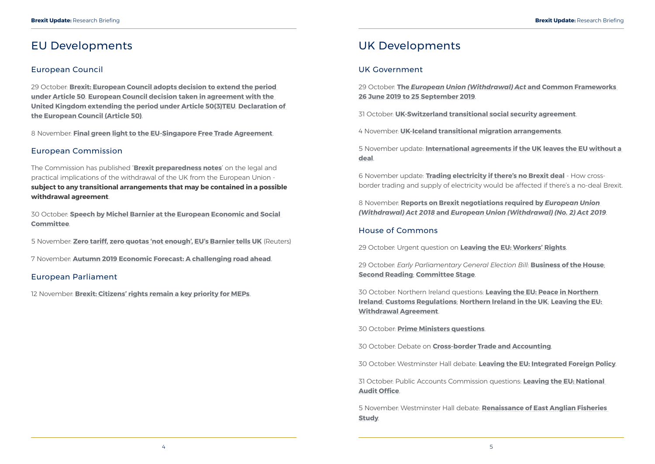## <span id="page-5-0"></span>EU Developments

### European Council

29 October: **[Brexit: European Council adopts decision to extend the period](https://www.consilium.europa.eu/en/press/press-releases/2019/10/29/brexit-european-council-adopts-decision-to-extend-the-period-under-article-50/)  [under Article 50](https://www.consilium.europa.eu/en/press/press-releases/2019/10/29/brexit-european-council-adopts-decision-to-extend-the-period-under-article-50/)**. **[European Council decision taken in agreement with the](https://data.consilium.europa.eu/doc/document/XT-20024-2019-REV-2/en/pdf)  [United Kingdom extending the period under Article 50\(3\)TEU](https://data.consilium.europa.eu/doc/document/XT-20024-2019-REV-2/en/pdf)**. **[Declaration of](https://www.consilium.europa.eu/media/41202/xt20025-re01-en19.pdf)  [the European Council \(Article 50\)](https://www.consilium.europa.eu/media/41202/xt20025-re01-en19.pdf)**.

8 November: **[Final green light to the EU-Singapore Free Trade Agreement](https://www.consilium.europa.eu/en/press/press-releases/2019/11/08/final-green-light-to-the-eu-singapore-free-trade-agreement/)**.

### European Commission

The Commission has published '**[Brexit preparedness notes](https://ec.europa.eu/info/brexit/brexit-preparedness/preparedness-notices_en)**' on the legal and practical implications of the withdrawal of the UK from the European Union **subject to any transitional arrangements that may be contained in a possible withdrawal agreement**.

30 October: **[Speech by Michel Barnier at the European Economic and Social](https://ec.europa.eu/commission/sites/beta-political/files/20191030_ecsc.pdf)  [Committee](https://ec.europa.eu/commission/sites/beta-political/files/20191030_ecsc.pdf)**.

5 November: **[Zero tariff, zero quotas 'not enough', EU's Barnier tells UK](https://uk.reuters.com/article/us-britain-eu-barnier/zero-tariff-zero-quotas-not-enough-eus-barnier-tells-uk-idUKKBN1XF1ND)** (Reuters)

7 November: **[Autumn 2019 Economic Forecast: A challenging road ahead](https://ec.europa.eu/commission/presscorner/detail/en/ip_19_6215)**.

#### European Parliament

12 November: **[Brexit: Citizens' rights remain a key priority for MEPs](https://www.europarl.europa.eu/news/en/press-room/20191112IPR66301/brexit-citizens-rights-remain-a-key-priority-for-meps)**.

### UK Developments

#### UK Government

29 October: **The** *[European Union \(Withdrawal\) Act](https://assets.publishing.service.gov.uk/government/uploads/system/uploads/attachment_data/file/841824/The_European_Union__Withdrawal__Web_Accessible.pdf)* **and Common Frameworks [26 June 2019 to 25 September 2019](https://assets.publishing.service.gov.uk/government/uploads/system/uploads/attachment_data/file/841824/The_European_Union__Withdrawal__Web_Accessible.pdf)**.

31 October: **[UK-Switzerland transitional social security agreement](https://www.gov.uk/government/news/uk-switzerland-transitional-social-security-agreement)**.

4 November: **[UK-Iceland transitional migration arrangements](https://www.gov.uk/government/news/uk-iceland-transitional-migration-arrangements)**.

5 November update: **[International agreements if the UK leaves the EU without a](https://www.gov.uk/government/publications/international-agreements-if-the-uk-leaves-the-eu-without-a-deal)  [deal](https://www.gov.uk/government/publications/international-agreements-if-the-uk-leaves-the-eu-without-a-deal)**.

6 November update: **[Trading electricity if there's no Brexit deal](https://www.gov.uk/government/publications/trading-electricity-if-theres-no-brexit-deal/trading-electricity-if-theres-no-brexit-deal)** - How crossborder trading and supply of electricity would be affected if there's a no-deal Brexit.

8 November: **[Reports on Brexit negotiations required by](https://www.gov.uk/government/publications/reports-on-brexit-negotiations-required-by-european-union-withdrawal-act-2018-and-european-union-withdrawal-no-2-act-2019)** *European Union (Withdrawal) Act 2018* **and** *[European Union \(Withdrawal\) \(No. 2\) Act 2019](https://www.gov.uk/government/publications/reports-on-brexit-negotiations-required-by-european-union-withdrawal-act-2018-and-european-union-withdrawal-no-2-act-2019)*.

#### House of Commons

29 October: Urgent question on **[Leaving the EU: Workers' Rights](https://hansard.parliament.uk/commons/2019-10-29/debates/1AB9EB2D-ACDE-41E8-86CD-285313FD0E8B/LeavingTheEUWorkers’Rights)**.

29 October: *Early Parliamentary General Election Bill*: **[Business of the House](https://hansard.parliament.uk/commons/2019-10-29/debates/2DE70C78-285C-4ECE-B794-DA1C790469B3/EarlyParliamentaryGeneralElectionBill(BusinessOfTheHouse))**; **[Second Reading](https://hansard.parliament.uk/Commons/2019-10-29/debates/DDAEFDD2-1872-45C6-8553-8B5B3786F50B/EarlyParliamentaryGeneralElectionBill)**; **[Committee Stage](https://hansard.parliament.uk/Commons/2019-10-29/debates/663DAF1C-CCE3-4E0E-BE8A-687643A76309/EarlyParliamentaryGeneralElectionBill)**.

30 October: Northern Ireland questions: **[Leaving the EU: Peace in Northern](https://hansard.parliament.uk/commons/2019-10-30/debates/D1A994F4-46DD-42F0-A951-E6C239E1A08E/LeavingTheEUPeaceInNorthernIreland)  [Ireland](https://hansard.parliament.uk/commons/2019-10-30/debates/D1A994F4-46DD-42F0-A951-E6C239E1A08E/LeavingTheEUPeaceInNorthernIreland)**; **[Customs Regulations](https://hansard.parliament.uk/Commons/2019-10-30/debates/8CACA0EB-3A3C-4ED9-943C-FA54D13A434C/CustomsRegulations)**; **[Northern Ireland in the UK](https://hansard.parliament.uk/Commons/2019-10-30/debates/FED69E4F-A727-4470-9F6C-2303BBADFC92/NorthernIrelandInTheUK)**; **[Leaving the EU:](https://hansard.parliament.uk/Commons/2019-10-30/debates/C55A0C42-74F2-4267-990F-86667AAEF3BC/LeavingTheEUWithdrawalAgreement)  [Withdrawal Agreement](https://hansard.parliament.uk/Commons/2019-10-30/debates/C55A0C42-74F2-4267-990F-86667AAEF3BC/LeavingTheEUWithdrawalAgreement)**.

30 October: **[Prime Ministers questions](https://hansard.parliament.uk/Commons/2019-10-30/debates/EE676E39-9A59-47E9-B17A-E7D8FB1A2D11/Engagements)**.

30 October: Debate on **[Cross-border Trade and Accounting](https://hansard.parliament.uk/commons/2019-10-30/debates/DEE00907-C4BA-4F59-B9D4-013CA6160189/Cross-BorderTradeAndAccounting)**.

30 October: Westminster Hall debate: **[Leaving the EU: Integrated Foreign Policy](https://hansard.parliament.uk/commons/2019-10-30/debates/19103020000002/LeavingTheEUIntegratedForeignPolicy)**.

31 October: Public Accounts Commission questions: **[Leaving the EU: National](https://hansard.parliament.uk/commons/2019-10-31/debates/030B790F-5161-416B-85CE-7366FE98F834/LeavingTheEUNationalAuditOffice)  [Audit Office](https://hansard.parliament.uk/commons/2019-10-31/debates/030B790F-5161-416B-85CE-7366FE98F834/LeavingTheEUNationalAuditOffice)**.

5 November: Westminster Hall debate: **[Renaissance of East Anglian Fisheries](https://hansard.parliament.uk/commons/2019-11-05/debates/114B3034-EF82-41E9-A8F9-FA91DF926E52/RenaissanceOfEastAnglianFisheriesStudy)  [Study](https://hansard.parliament.uk/commons/2019-11-05/debates/114B3034-EF82-41E9-A8F9-FA91DF926E52/RenaissanceOfEastAnglianFisheriesStudy)**.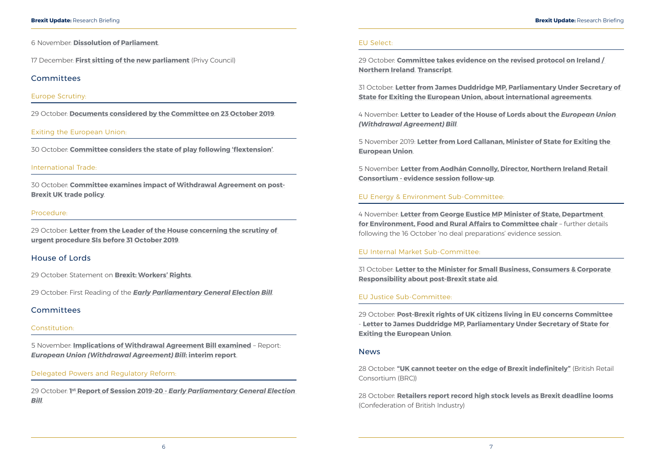<span id="page-6-0"></span>6 November: **[Dissolution of Parliament](https://www.parliament.uk/business/news/2019/november/the-house-has-dissolved/)**.

17 December: **[First sitting of the new parliament](https://privycouncil.independent.gov.uk/wp-content/uploads/2019/11/2019-11-06-List-of-Business.pdf)** (Privy Council)

#### Committees

#### Europe Scrutiny:

29 October: **[Documents considered by the Committee on 23 October 2019](https://publications.parliament.uk/pa/cm201920/cmselect/cmeuleg/16-ii/1602.htm)**.

#### Exiting the European Union:

30 October: **[Committee considers the state of play following 'flextension'](https://www.parliament.uk/business/committees/committees-a-z/commons-select/exiting-the-european-union-committee/news-parliament-2017/flextension-evidence-19-20/)**.

#### International Trade:

30 October: **[Committee examines impact of Withdrawal Agreement on post-](https://www.parliament.uk/business/committees/committees-a-z/commons-select/international-trade-committee/news-parliament-2017/withdrawal-agreement-on-post-brexit-uk-trade-policy-evidence-19-20/)[Brexit UK trade policy](https://www.parliament.uk/business/committees/committees-a-z/commons-select/international-trade-committee/news-parliament-2017/withdrawal-agreement-on-post-brexit-uk-trade-policy-evidence-19-20/)**.

#### Procedure:

29 October: **[Letter from the Leader of the House concerning the scrutiny of](https://www.parliament.uk/documents/commons-committees/procedure/2019-20/Correspondence/20191029%20-%20Leader%20to%20Sir%20Charles%20Walker%20-%20Urgent%20Made%20Affirmative%20EU%20Exit%20SI%20Update.pdf)  [urgent procedure SIs before 31 October 2019](https://www.parliament.uk/documents/commons-committees/procedure/2019-20/Correspondence/20191029%20-%20Leader%20to%20Sir%20Charles%20Walker%20-%20Urgent%20Made%20Affirmative%20EU%20Exit%20SI%20Update.pdf)**.

#### House of Lords

29 October: Statement on **[Brexit: Workers' Rights](https://hansard.parliament.uk/Lords/2019-10-29/debates/687047BA-8ABD-4FB6-B033-FCA8C7C90D90/BrexitWorkers’Rights)**.

29 October: First Reading of the *[Early Parliamentary General Election Bill](https://hansard.parliament.uk/Lords/2019-10-29/debates/786F83C1-86D1-41B1-9A1C-96758450FB1C/EarlyParliamentaryGeneralElectionBill)*.

#### Committees

#### Constitution:

5 November: **[Implications of Withdrawal Agreement Bill examined](https://www.parliament.uk/business/committees/committees-a-z/lords-select/constitution-committee/news-parliament-2017/withdrawal-agreement-bill-interim-report/)** – Report: *[European Union \(Withdrawal Agreement\) Bill](https://publications.parliament.uk/pa/ld201920/ldselect/ldconst/21/2102.htm)***: interim report**.

#### Delegated Powers and Regulatory Reform:

29 October: **1st Report of Session 2019-20 -** *[Early Parliamentary General Election](https://publications.parliament.uk/pa/ld201920/ldselect/lddelreg/12/1202.htm)  [Bill](https://publications.parliament.uk/pa/ld201920/ldselect/lddelreg/12/1202.htm)*.

#### EU Select:

29 October: **[Committee takes evidence on the revised protocol on Ireland /](https://www.parliament.uk/business/committees/committees-a-z/lords-select/eu-select-committee-/news-parliament-2017/protocol-northern-ireland-brexit/)  [Northern Ireland](https://www.parliament.uk/business/committees/committees-a-z/lords-select/eu-select-committee-/news-parliament-2017/protocol-northern-ireland-brexit/)**. **[Transcript](http://data.parliament.uk/writtenevidence/committeeevidence.svc/evidencedocument/european-union-committee/scrutiny-of-brexit-negotiations/oral/106838.html)**.

31 October: **[Letter from James Duddridge MP, Parliamentary Under Secretary of](https://www.parliament.uk/documents/lords-committees/eu-select/Correspondence-Jul-Oct/james-duddridge-letter-IA.pdf)  [State for Exiting the European Union, about international agreements](https://www.parliament.uk/documents/lords-committees/eu-select/Correspondence-Jul-Oct/james-duddridge-letter-IA.pdf)**.

4 November: **[Letter to Leader of the House of Lords about the](https://www.parliament.uk/documents/lords-committees/eu-select/scrutiny-brexit-negotiations/leader-house-letter-nov.pdf)** *European Union [\(Withdrawal Agreement\) Bill](https://www.parliament.uk/documents/lords-committees/eu-select/scrutiny-brexit-negotiations/leader-house-letter-nov.pdf)*.

5 November 2019: **[Letter from Lord Callanan, Minister of State for Exiting the](https://www.parliament.uk/documents/lords-committees/eu-select/Correspondence-Nov-19/2019-11-05-Letter-from-Lord-Callanan-to-the-Earl-of-Kinnoull.pdf)  [European Union](https://www.parliament.uk/documents/lords-committees/eu-select/Correspondence-Nov-19/2019-11-05-Letter-from-Lord-Callanan-to-the-Earl-of-Kinnoull.pdf)**.

5 November: **[Letter from Aodhán Connolly, Director, Northern Ireland Retail](https://www.parliament.uk/documents/lords-committees/eu-select/scrutiny-brexit-negotiations/aodhan-connoly-NIRC-evidence.pdf)  [Consortium - evidence session follow-up](https://www.parliament.uk/documents/lords-committees/eu-select/scrutiny-brexit-negotiations/aodhan-connoly-NIRC-evidence.pdf)**.

#### EU Energy & Environment Sub-Committee:

4 November: **[Letter from George Eustice MP Minister of State, Department](https://www.parliament.uk/documents/lords-committees/eu-energy-environment-subcommittee/no-deal/Letter-from-GE-Chair-of-%20EU-EE-no-deal-preperations%20.pdf)  [for Environment, Food and Rural Affairs to Committee chair](https://www.parliament.uk/documents/lords-committees/eu-energy-environment-subcommittee/no-deal/Letter-from-GE-Chair-of-%20EU-EE-no-deal-preperations%20.pdf)** – further details following the 16 October 'no deal preparations' evidence session.

#### EU Internal Market Sub-Committee:

31 October: **[Letter to the Minister for Small Business, Consumers & Corporate](https://www.parliament.uk/documents/lords-committees/eu-internal-market-subcommittee/brexit-competition/State-Aid-Baroness-Donaghy-Kelly-Tolhurst-MP-311019.pdf)  [Responsibility about post-Brexit state aid](https://www.parliament.uk/documents/lords-committees/eu-internal-market-subcommittee/brexit-competition/State-Aid-Baroness-Donaghy-Kelly-Tolhurst-MP-311019.pdf)**.

#### EU Justice Sub-Committee:

29 October: **[Post-Brexit rights of UK citizens living in EU concerns Committee](https://www.parliament.uk/business/committees/committees-a-z/lords-select/eu-justice-subcommittee/news-parliament-2017/uk-citizens-rights-jdletter-291019/)** - **[Letter to James Duddridge MP, Parliamentary Under Secretary of State for](https://www.parliament.uk/documents/lords-committees/eu-justice-subcommittee/CWM/Letter-from-EU-to-JamesDuddridge-citizenship-rights-29-10-19.pdf)  [Exiting the European Union](https://www.parliament.uk/documents/lords-committees/eu-justice-subcommittee/CWM/Letter-from-EU-to-JamesDuddridge-citizenship-rights-29-10-19.pdf)**.

#### News

28 October: **["UK cannot teeter on the edge of Brexit indefinitely"](https://brc.org.uk/news/2019/uk-cannot-teeter-on-the-edge-of-brexit-indefinitely)** (British Retail Consortium (BRC))

28 October: **[Retailers report record high stock levels as Brexit deadline looms](https://www.cbi.org.uk/media-centre/articles/retailers-report-record-high-stock-levels-as-brexit-deadline-looms-cbi/)** (Confederation of British Industry)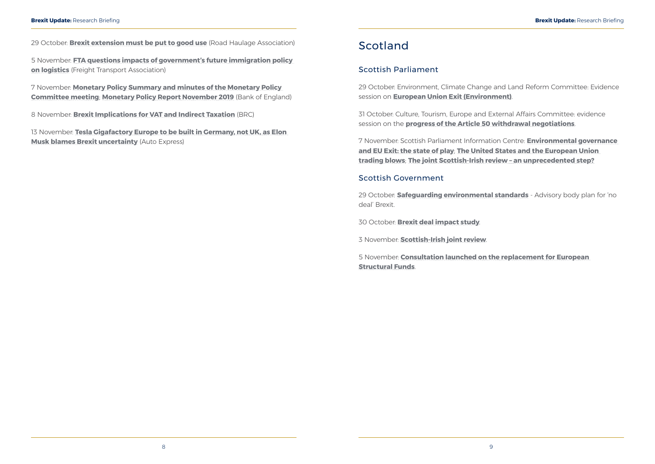<span id="page-7-0"></span>**Brexit Update:** Research Briefing **Brexit Update:** Research Briefing

5 November: **[FTA questions impacts of government's future immigration policy](https://fta.co.uk/media/press-releases/2019/november/fta-questions-impacts-of-government-s-future-immig)  [on logistics](https://fta.co.uk/media/press-releases/2019/november/fta-questions-impacts-of-government-s-future-immig)** (Freight Transport Association)

29 October: **[Brexit extension must be put to good use](https://www.rha.uk.net/news/press-releases/2019-10-october/brexit-extension-must-be-put-to-good-use-says-rha-en)** (Road Haulage Association)

13 November: **[Tesla Gigafactory Europe to be built in Germany, not UK, as Elon](https://www.autoexpress.co.uk/tesla/108395/tesla-gigafactory-europe-to-be-built-in-germany-not-uk-as-elon-musk-blames-brexit)  [Musk blames Brexit uncertainty](https://www.autoexpress.co.uk/tesla/108395/tesla-gigafactory-europe-to-be-built-in-germany-not-uk-as-elon-musk-blames-brexit)** (Auto Express)

7 November: **[Monetary Policy Summary and minutes of the Monetary Policy](https://www.bankofengland.co.uk/-/media/boe/files/monetary-policy-summary-and-minutes/2019/november-2019.pdf?la=en&hash=F4EEB00AE553F03818CEF35C5F41F33F7D85D3C2)  [Committee meeting](https://www.bankofengland.co.uk/-/media/boe/files/monetary-policy-summary-and-minutes/2019/november-2019.pdf?la=en&hash=F4EEB00AE553F03818CEF35C5F41F33F7D85D3C2)**; **[Monetary Policy Report November 2019](https://www.bankofengland.co.uk/-/media/boe/files/monetary-policy-report/2019/november/monetary-policy-report-november-2019.pdf)** (Bank of England)

8 November: **[Brexit Implications for VAT and Indirect Taxation](https://brc.org.uk/news/2019/brexit-implications-for-vat-and-indirect-taxation)** (BRC)

### Scotland

### Scottish Parliament

29 October: Environment, Climate Change and Land Reform Committee: Evidence session on **[European Union Exit \(Environment\)](http://www.parliament.scot/parliamentarybusiness/report.aspx?r=12328&i=111406)**.

31 October: Culture, Tourism, Europe and External Affairs Committee: evidence session on the **[progress of the Article 50 withdrawal negotiations](http://www.parliament.scot/parliamentarybusiness/report.aspx?r=12337&i=111517)**.

7 November: Scottish Parliament Information Centre: **[Environmental governance](https://spice-spotlight.scot/2019/11/04/guest-blog-environmental-governance-and-eu-exit-the-state-of-play/)  [and EU Exit: the state of play](https://spice-spotlight.scot/2019/11/04/guest-blog-environmental-governance-and-eu-exit-the-state-of-play/)**; **[The United States and the European Union](https://spice-spotlight.scot/2019/11/07/guest-blog-the-united-states-and-the-european-union-trading-blows/)  [trading blows](https://spice-spotlight.scot/2019/11/07/guest-blog-the-united-states-and-the-european-union-trading-blows/)**; **[The joint Scottish-Irish review – an unprecedented step?](https://spice-spotlight.scot/2019/11/08/the-joint-scottish-irish-review-an-unprecedented-step/)**

#### Scottish Government

29 October: **[Safeguarding environmental standards](https://www.gov.scot/news/safeguarding-environmental-standards/)** - Advisory body plan for 'no deal' Brexit.

30 October: **[Brexit deal impact study](https://www.gov.scot/news/brexit-deal-impact-study/)**.

3 November: **[Scottish-Irish joint review](https://www.gov.scot/news/scottish-irish-joint-review/)**.

5 November: **[Consultation launched on the replacement for European](https://www.gov.scot/news/eu-funding/)  [Structural Funds](https://www.gov.scot/news/eu-funding/)**.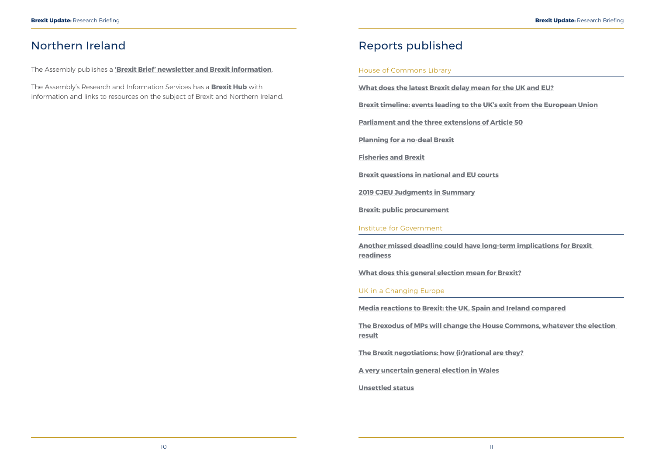### <span id="page-8-0"></span>Northern Ireland

The Assembly publishes a **['Brexit Brief' newsletter and Brexit information](http://www.niassembly.gov.uk/assembly-business/brexit-brief/)**.

The Assembly's Research and Information Services has a **[Brexit Hub](http://www.niassembly.gov.uk/assembly-business/research-and-information-service-raise/brexit-and-ni/?utm_source=BexitHub&utm_medium=website&utm_campaign=Brexit_Hub_Raise)** with information and links to resources on the subject of Brexit and Northern Ireland.

### Reports published

#### House of Commons Library

**[What does the latest Brexit delay mean for the UK and EU?](https://commonslibrary.parliament.uk/brexit/the-eu/what-does-the-latest-brexit-delay-mean-for-the-uk-and-eu/)**

**[Brexit timeline: events leading to the UK's exit from the European Union](https://researchbriefings.parliament.uk/ResearchBriefing/Summary/CBP-7960)**

**[Parliament and the three extensions of Article 50](https://researchbriefings.parliament.uk/ResearchBriefing/Summary/CBP-8725)**

**[Planning for a no-deal Brexit](https://researchbriefings.parliament.uk/ResearchBriefing/Summary/CBP-8733)**

**[Fisheries and Brexit](https://researchbriefings.parliament.uk/ResearchBriefing/Summary/CBP-8396)**

**[Brexit questions in national and EU courts](https://researchbriefings.parliament.uk/ResearchBriefing/Summary/CBP-8415)**

**[2019 CJEU Judgments in Summary](https://researchbriefings.parliament.uk/ResearchBriefing/Summary/CBP-8573)**

**[Brexit: public procurement](https://researchbriefings.parliament.uk/ResearchBriefing/Summary/CBP-8390)**

#### Institute for Government

**[Another missed deadline could have long-term implications for Brexit](https://www.instituteforgovernment.org.uk/blog/missed-deadline-long-term-implications-brexit-readiness)  [readiness](https://www.instituteforgovernment.org.uk/blog/missed-deadline-long-term-implications-brexit-readiness)**

**[What does this general election mean for Brexit?](https://www.instituteforgovernment.org.uk/blog/what-does-general-election-mean-brexit)**

UK in a Changing Europe

**[Media reactions to Brexit: the UK, Spain and Ireland compared](https://ukandeu.ac.uk/media-reactions-to-brexit-the-uk-spain-and-ireland-compared/)**

**[The Brexodus of MPs will change the House Commons, whatever the election](https://ukandeu.ac.uk/the-brexodus-of-mps-will-change-the-house-commons-whatever-the-election-result/)  [result](https://ukandeu.ac.uk/the-brexodus-of-mps-will-change-the-house-commons-whatever-the-election-result/)**

**[The Brexit negotiations: how \(ir\)rational are they?](https://ukandeu.ac.uk/the-brexit-negotiations-how-irrational-are-they/)**

**[A very uncertain general election in Wales](https://ukandeu.ac.uk/a-very-uncertain-general-election-in-wales/)**

**[Unsettled status](https://ukandeu.ac.uk/unsettled-status/)**